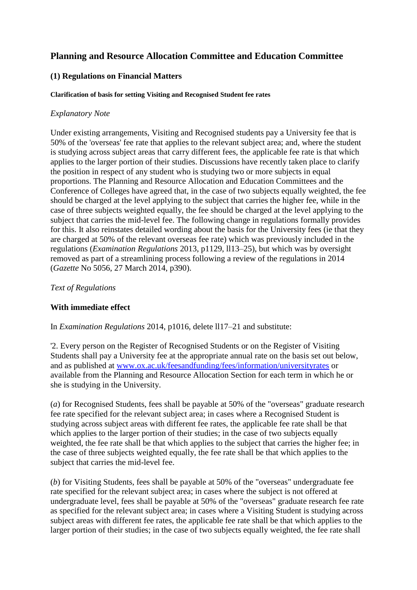# **Planning and Resource Allocation Committee and Education Committee**

# **(1) Regulations on Financial Matters**

#### **Clarification of basis for setting Visiting and Recognised Student fee rates**

### *Explanatory Note*

Under existing arrangements, Visiting and Recognised students pay a University fee that is 50% of the 'overseas' fee rate that applies to the relevant subject area; and, where the student is studying across subject areas that carry different fees, the applicable fee rate is that which applies to the larger portion of their studies. Discussions have recently taken place to clarify the position in respect of any student who is studying two or more subjects in equal proportions. The Planning and Resource Allocation and Education Committees and the Conference of Colleges have agreed that, in the case of two subjects equally weighted, the fee should be charged at the level applying to the subject that carries the higher fee, while in the case of three subjects weighted equally, the fee should be charged at the level applying to the subject that carries the mid-level fee. The following change in regulations formally provides for this. It also reinstates detailed wording about the basis for the University fees (ie that they are charged at 50% of the relevant overseas fee rate) which was previously included in the regulations (*Examination Regulations* 2013, p1129, ll13–25), but which was by oversight removed as part of a streamlining process following a review of the regulations in 2014 (*Gazette* No 5056, 27 March 2014, p390).

#### *Text of Regulations*

# **With immediate effect**

In *Examination Regulations* 2014, p1016, delete ll17–21 and substitute:

'2. Every person on the Register of Recognised Students or on the Register of Visiting Students shall pay a University fee at the appropriate annual rate on the basis set out below, and as published at [www.ox.ac.uk/feesandfunding/fees/information/universityrates](http://www.ox.ac.uk/feesandfunding/fees/information/universityrates) or available from the Planning and Resource Allocation Section for each term in which he or she is studying in the University.

(*a*) for Recognised Students, fees shall be payable at 50% of the "overseas" graduate research fee rate specified for the relevant subject area; in cases where a Recognised Student is studying across subject areas with different fee rates, the applicable fee rate shall be that which applies to the larger portion of their studies; in the case of two subjects equally weighted, the fee rate shall be that which applies to the subject that carries the higher fee; in the case of three subjects weighted equally, the fee rate shall be that which applies to the subject that carries the mid-level fee.

(*b*) for Visiting Students, fees shall be payable at 50% of the "overseas" undergraduate fee rate specified for the relevant subject area; in cases where the subject is not offered at undergraduate level, fees shall be payable at 50% of the "overseas" graduate research fee rate as specified for the relevant subject area; in cases where a Visiting Student is studying across subject areas with different fee rates, the applicable fee rate shall be that which applies to the larger portion of their studies; in the case of two subjects equally weighted, the fee rate shall